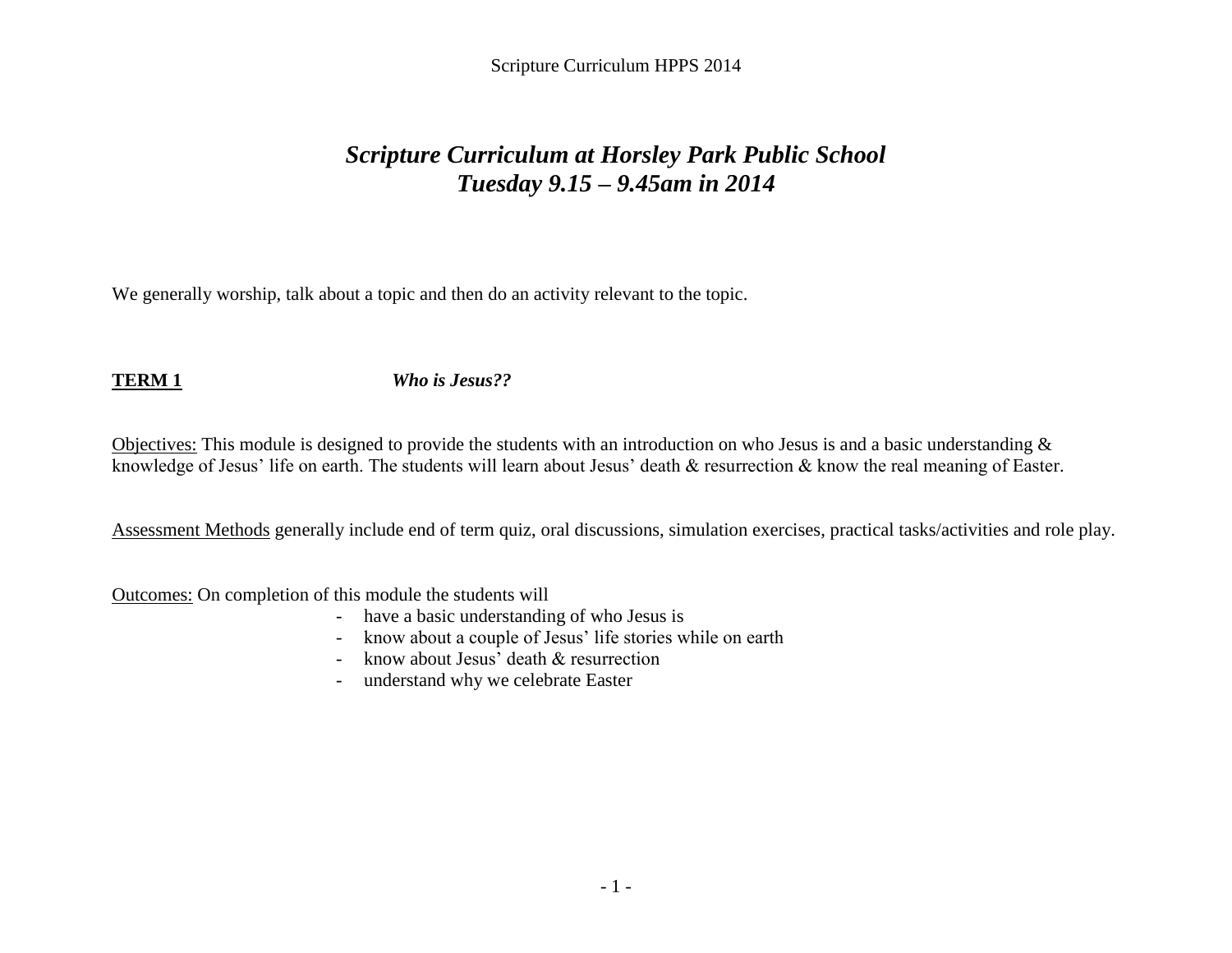Scripture Curriculum HPPS 2014

# *Scripture Curriculum at Horsley Park Public School Tuesday 9.15 – 9.45am in 2014*

We generally worship, talk about a topic and then do an activity relevant to the topic.

**TERM 1** *Who is Jesus??*

Objectives: This module is designed to provide the students with an introduction on who Jesus is and a basic understanding & knowledge of Jesus' life on earth. The students will learn about Jesus' death & resurrection & know the real meaning of Easter.

Assessment Methods generally include end of term quiz, oral discussions, simulation exercises, practical tasks/activities and role play.

- have a basic understanding of who Jesus is
- know about a couple of Jesus' life stories while on earth
- know about Jesus' death & resurrection
- understand why we celebrate Easter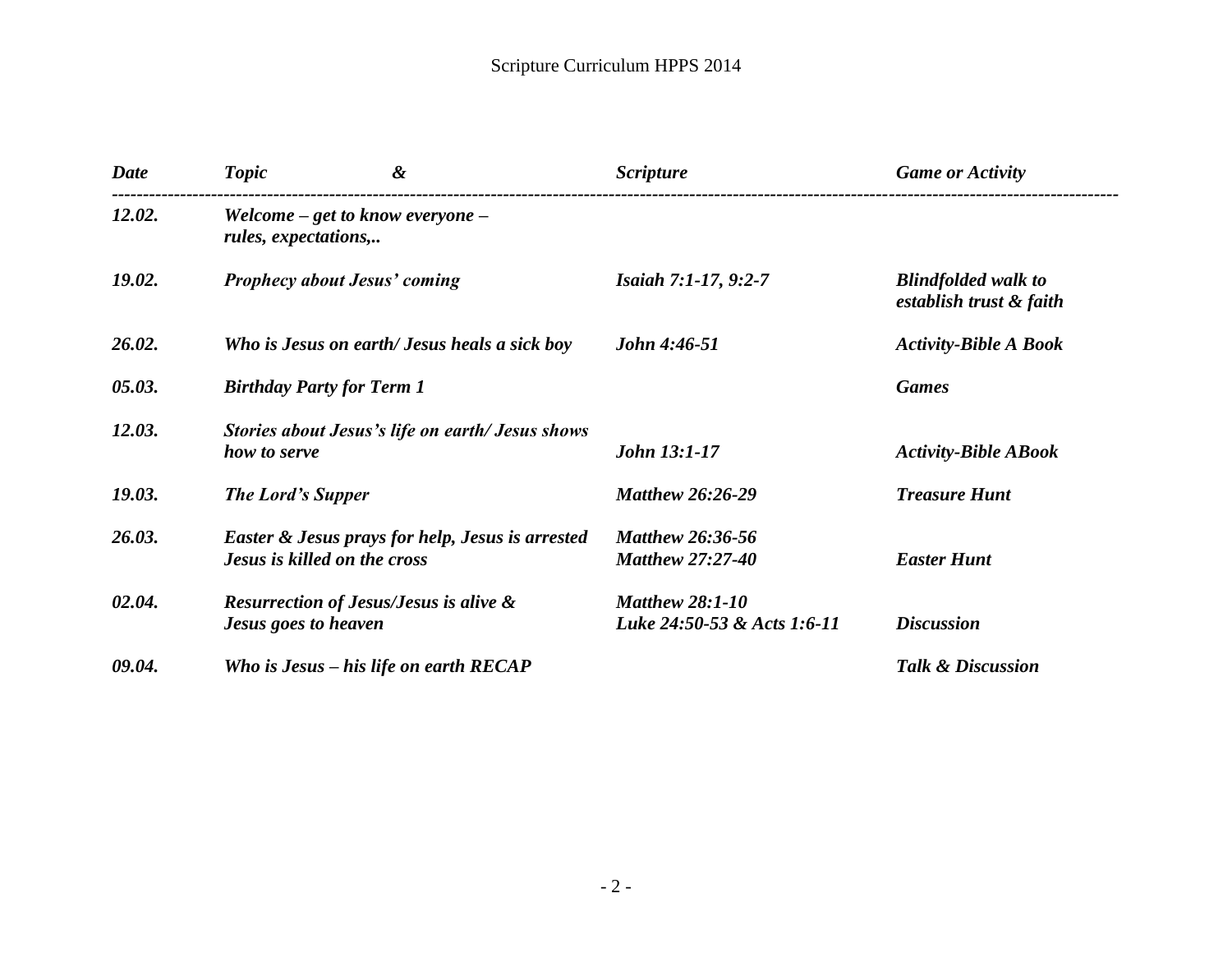| <b>Date</b> | <b>Topic</b>                                                 | &                                                                                           | <b>Scripture</b>                                      | <b>Game or Activity</b>                               |  |
|-------------|--------------------------------------------------------------|---------------------------------------------------------------------------------------------|-------------------------------------------------------|-------------------------------------------------------|--|
| 12.02.      | Welcome $-$ get to know everyone $-$<br>rules, expectations, |                                                                                             |                                                       |                                                       |  |
| 19.02.      |                                                              | <b>Prophecy about Jesus' coming</b>                                                         | <i>Isaiah 7:1-17, 9:2-7</i>                           | <b>Blindfolded walk to</b><br>establish trust & faith |  |
| 26.02.      |                                                              | Who is Jesus on earth/ Jesus heals a sick boy                                               | John 4:46-51                                          | <b>Activity-Bible A Book</b>                          |  |
| 05.03.      |                                                              | <b>Birthday Party for Term 1</b>                                                            |                                                       | <b>Games</b>                                          |  |
| 12.03.      | how to serve                                                 | Stories about Jesus's life on earth/Jesus shows                                             | <b>John 13:1-17</b>                                   | <b>Activity-Bible ABook</b>                           |  |
| 19.03.      | <b>The Lord's Supper</b>                                     |                                                                                             | <b>Matthew 26:26-29</b>                               | <b>Treasure Hunt</b>                                  |  |
| 26.03.      |                                                              | <b>Easter &amp; Jesus prays for help, Jesus is arrested</b><br>Jesus is killed on the cross | <b>Matthew 26:36-56</b><br><b>Matthew 27:27-40</b>    | <b>Easter Hunt</b>                                    |  |
| 02.04.      | <b>Jesus goes to heaven</b>                                  | <b>Resurrection of Jesus/Jesus is alive &amp;</b>                                           | <b>Matthew 28:1-10</b><br>Luke 24:50-53 & Acts 1:6-11 | <b>Discussion</b>                                     |  |
| 09.04.      |                                                              | Who is Jesus $-$ his life on earth RECAP                                                    |                                                       | <b>Talk &amp; Discussion</b>                          |  |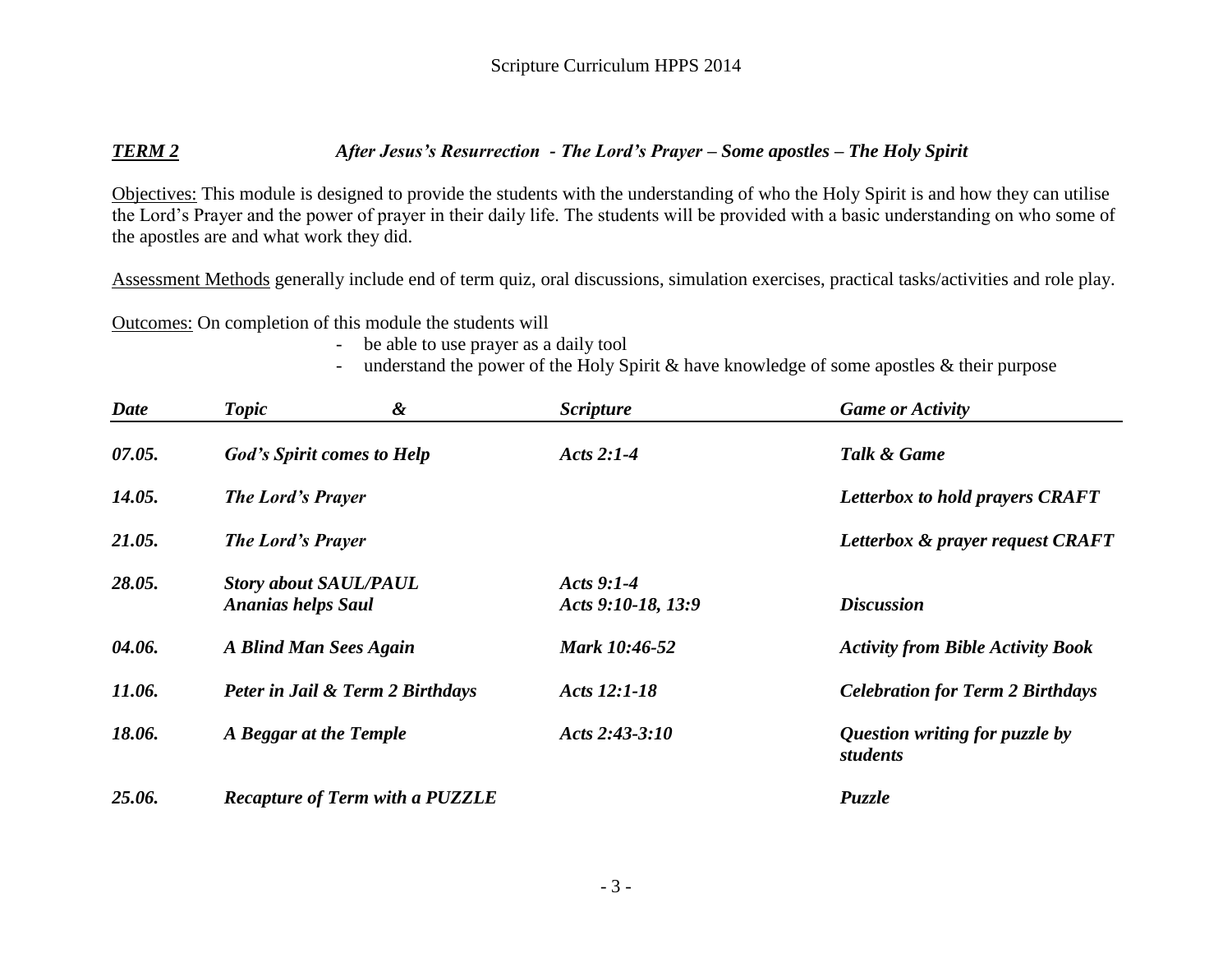### *TERM 2 After Jesus's Resurrection - The Lord's Prayer – Some apostles – The Holy Spirit*

Objectives: This module is designed to provide the students with the understanding of who the Holy Spirit is and how they can utilise the Lord's Prayer and the power of prayer in their daily life. The students will be provided with a basic understanding on who some of the apostles are and what work they did.

Assessment Methods generally include end of term quiz, oral discussions, simulation exercises, practical tasks/activities and role play.

- be able to use prayer as a daily tool
- understand the power of the Holy Spirit & have knowledge of some apostles & their purpose

| <b>Date</b> | Topic                                                     | &                                      | <b>Scripture</b>                   | <b>Game or Activity</b>                    |
|-------------|-----------------------------------------------------------|----------------------------------------|------------------------------------|--------------------------------------------|
| 07.05.      |                                                           | <b>God's Spirit comes to Help</b>      | Acts 2:1-4                         | Talk & Game                                |
| 14.05.      | <b>The Lord's Prayer</b>                                  |                                        |                                    | Letterbox to hold prayers CRAFT            |
| 21.05.      | <b>The Lord's Prayer</b>                                  |                                        |                                    | Letterbox & prayer request CRAFT           |
| 28.05.      | <b>Story about SAUL/PAUL</b><br><b>Ananias helps Saul</b> |                                        | Acts $9:1-4$<br>Acts 9:10-18, 13:9 | <b>Discussion</b>                          |
| 04.06.      | A Blind Man Sees Again                                    |                                        | Mark 10:46-52                      | <b>Activity from Bible Activity Book</b>   |
| 11.06.      |                                                           | Peter in Jail & Term 2 Birthdays       | Acts 12:1-18                       | <b>Celebration for Term 2 Birthdays</b>    |
| 18.06.      | A Beggar at the Temple                                    |                                        | Acts $2:43-3:10$                   | Question writing for puzzle by<br>students |
| 25.06.      |                                                           | <b>Recapture of Term with a PUZZLE</b> |                                    | Puzzle                                     |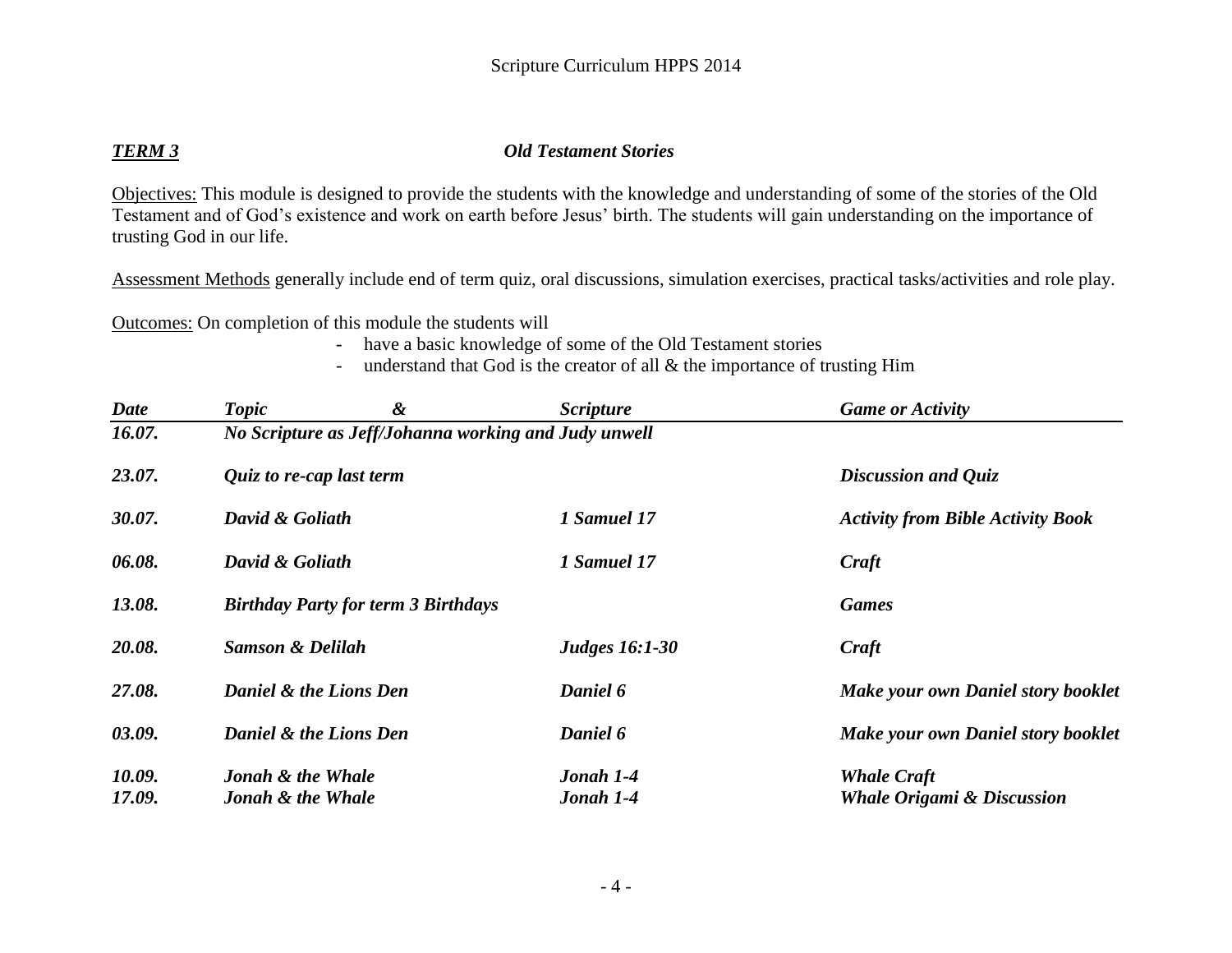## *TERM 3 Old Testament Stories*

Objectives: This module is designed to provide the students with the knowledge and understanding of some of the stories of the Old Testament and of God's existence and work on earth before Jesus' birth. The students will gain understanding on the importance of trusting God in our life.

Assessment Methods generally include end of term quiz, oral discussions, simulation exercises, practical tasks/activities and role play.

- have a basic knowledge of some of the Old Testament stories
- understand that God is the creator of all  $\&$  the importance of trusting Him

| <b>Date</b> | <b>Topic</b>                                         | & | <i>Scripture</i>      | <b>Game or Activity</b>                   |  |
|-------------|------------------------------------------------------|---|-----------------------|-------------------------------------------|--|
| 16.07.      | No Scripture as Jeff/Johanna working and Judy unwell |   |                       |                                           |  |
| 23.07.      | Quiz to re-cap last term                             |   | Discussion and Quiz   |                                           |  |
| 30.07.      | David & Goliath<br>1 Samuel 17                       |   |                       | <b>Activity from Bible Activity Book</b>  |  |
| 06.08.      | David & Goliath                                      |   | 1 Samuel 17           | Craft                                     |  |
| 13.08.      | <b>Birthday Party for term 3 Birthdays</b>           |   |                       | <b>Games</b>                              |  |
| 20.08.      | <b>Samson &amp; Delilah</b>                          |   | <b>Judges 16:1-30</b> | Craft                                     |  |
| 27.08.      | Daniel & the Lions Den<br>Daniel 6                   |   |                       | <b>Make your own Daniel story booklet</b> |  |
| 03.09.      | Daniel & the Lions Den                               |   | Daniel 6              | <b>Make your own Daniel story booklet</b> |  |
| 10.09.      | Jonah & the Whale                                    |   | Jonah 1-4             | <b>Whale Craft</b>                        |  |
| 17.09.      | <b>Jonah &amp; the Whale</b>                         |   | Jonah 1-4             | <b>Whale Origami &amp; Discussion</b>     |  |